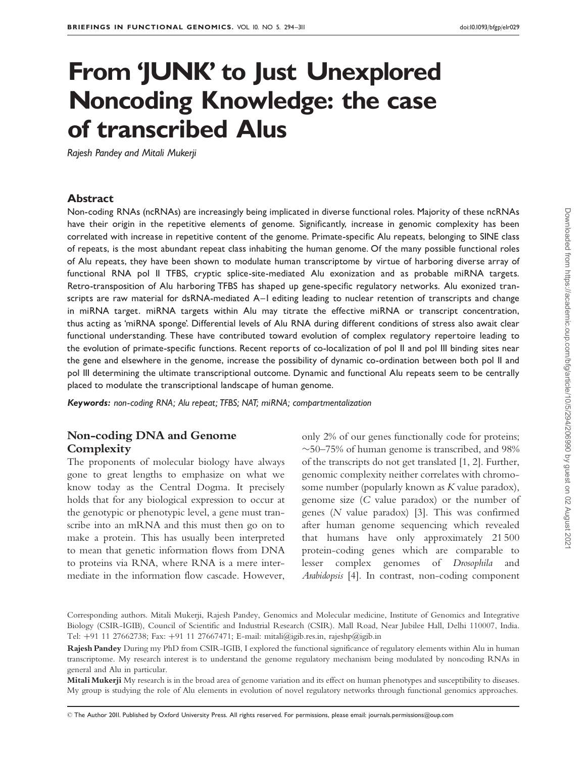# From 'JUNK' to Just Unexplored Noncoding Knowledge: the case of transcribed Alus

Rajesh Pandey and Mitali Mukerji

#### Abstract

Non-coding RNAs (ncRNAs) are increasingly being implicated in diverse functional roles. Majority of these ncRNAs have their origin in the repetitive elements of genome. Significantly, increase in genomic complexity has been correlated with increase in repetitive content of the genome. Primate-specific Alu repeats, belonging to SINE class of repeats, is the most abundant repeat class inhabiting the human genome. Of the many possible functional roles of Alu repeats, they have been shown to modulate human transcriptome by virtue of harboring diverse array of functional RNA pol II TFBS, cryptic splice-site-mediated Alu exonization and as probable miRNA targets. Retro-transposition of Alu harboring TFBS has shaped up gene-specific regulatory networks. Alu exonized transcripts are raw material for dsRNA-mediated A-I editing leading to nuclear retention of transcripts and change in miRNA target. miRNA targets within Alu may titrate the effective miRNA or transcript concentration, thus acting as 'miRNA sponge'. Differential levels of Alu RNA during different conditions of stress also await clear functional understanding. These have contributed toward evolution of complex regulatory repertoire leading to the evolution of primate-specific functions. Recent reports of co-localization of pol II and pol III binding sites near the gene and elsewhere in the genome, increase the possibility of dynamic co-ordination between both pol II and pol III determining the ultimate transcriptional outcome. Dynamic and functional Alu repeats seem to be centrally placed to modulate the transcriptional landscape of human genome.

Keywords: non-coding RNA; Alu repeat; TFBS; NAT; miRNA; compartmentalization

# Non-coding DNA and Genome **Complexity**

The proponents of molecular biology have always gone to great lengths to emphasize on what we know today as the Central Dogma. It precisely holds that for any biological expression to occur at the genotypic or phenotypic level, a gene must transcribe into an mRNA and this must then go on to make a protein. This has usually been interpreted to mean that genetic information flows from DNA to proteins via RNA, where RNA is a mere intermediate in the information flow cascade. However,

only 2% of our genes functionally code for proteins;  $\sim$ 50–75% of human genome is transcribed, and 98% of the transcripts do not get translated [1, 2]. Further, genomic complexity neither correlates with chromosome number (popularly known as K value paradox), genome size (C value paradox) or the number of genes (N value paradox) [3]. This was confirmed after human genome sequencing which revealed that humans have only approximately 21 500 protein-coding genes which are comparable to lesser complex genomes of Drosophila and Arabidopsis [4]. In contrast, non-coding component

Mitali Mukerji My research is in the broad area of genome variation and its effect on human phenotypes and susceptibility to diseases. My group is studying the role of Alu elements in evolution of novel regulatory networks through functional genomics approaches.

- The Author 2011. Published by Oxford University Press. All rights reserved. For permissions, please email: journals.permissions@oup.com

Corresponding authors. Mitali Mukerji, Rajesh Pandey, Genomics and Molecular medicine, Institute of Genomics and Integrative Biology (CSIR-IGIB), Council of Scientific and Industrial Research (CSIR). Mall Road, Near Jubilee Hall, Delhi 110007, India. Tel: þ91 11 27662738; Fax: þ91 11 27667471; E-mail: mitali@igib.res.in, rajeshp@igib.in

Rajesh Pandey During my PhD from CSIR-IGIB, I explored the functional significance of regulatory elements within Alu in human transcriptome. My research interest is to understand the genome regulatory mechanism being modulated by noncoding RNAs in general and Alu in particular.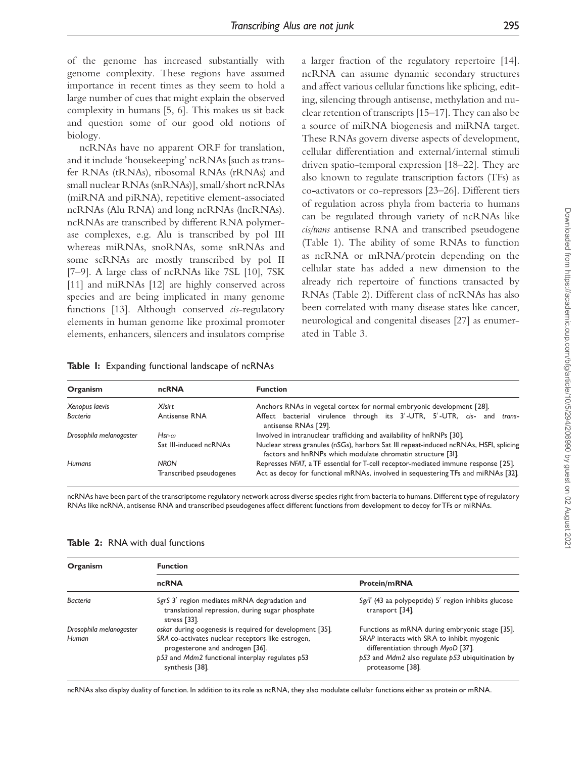of the genome has increased substantially with genome complexity. These regions have assumed importance in recent times as they seem to hold a large number of cues that might explain the observed complexity in humans [5, 6]. This makes us sit back and question some of our good old notions of biology.

ncRNAs have no apparent ORF for translation, and it include 'housekeeping' ncRNAs [such as transfer RNAs (tRNAs), ribosomal RNAs (rRNAs) and small nuclear RNAs (snRNAs)], small/short ncRNAs (miRNA and piRNA), repetitive element-associated ncRNAs (Alu RNA) and long ncRNAs (lncRNAs). ncRNAs are transcribed by different RNA polymerase complexes, e.g. Alu is transcribed by pol III whereas miRNAs, snoRNAs, some snRNAs and some scRNAs are mostly transcribed by pol II [7–9]. A large class of ncRNAs like 7SL [10], 7SK [11] and miRNAs [12] are highly conserved across species and are being implicated in many genome functions [13]. Although conserved cis-regulatory elements in human genome like proximal promoter elements, enhancers, silencers and insulators comprise

a larger fraction of the regulatory repertoire [14]. ncRNA can assume dynamic secondary structures and affect various cellular functions like splicing, editing, silencing through antisense, methylation and nuclear retention of transcripts [15–17]. They can also be a source of miRNA biogenesis and miRNA target. These RNAs govern diverse aspects of development, cellular differentiation and external/internal stimuli driven spatio-temporal expression [18–22]. They are also known to regulate transcription factors (TFs) as co-activators or co-repressors [23–26]. Different tiers of regulation across phyla from bacteria to humans can be regulated through variety of ncRNAs like cis/trans antisense RNA and transcribed pseudogene (Table 1). The ability of some RNAs to function as ncRNA or mRNA/protein depending on the cellular state has added a new dimension to the already rich repertoire of functions transacted by RNAs (Table 2). Different class of ncRNAs has also been correlated with many disease states like cancer, neurological and congenital diseases [27] as enumerated in Table 3.

|  |  |  |  |  | Table I: Expanding functional landscape of ncRNAs |
|--|--|--|--|--|---------------------------------------------------|
|--|--|--|--|--|---------------------------------------------------|

| Organism                | ncRNA                   | <b>Function</b>                                                                                                                                      |
|-------------------------|-------------------------|------------------------------------------------------------------------------------------------------------------------------------------------------|
| Xenopus laevis          | XIsirt                  | Anchors RNAs in vegetal cortex for normal embryonic development [28].                                                                                |
| <b>Bacteria</b>         | Antisense RNA           | Affect bacterial virulence through its 3'-UTR, 5'-UTR, cis-<br>and trans-<br>antisense RNAs [29].                                                    |
| Drosophila melanogaster | $Hsr-\omega$            | Involved in intranuclear trafficking and availability of hnRNPs [30].                                                                                |
|                         | Sat III-induced ncRNAs  | Nuclear stress granules (nSGs), harbors Sat III repeat-induced ncRNAs, HSFI, splicing<br>factors and hnRNPs which modulate chromatin structure [31]. |
| <b>Humans</b>           | <b>NRON</b>             | Represses NFAT, a TF essential for T-cell receptor-mediated immune response [25].                                                                    |
|                         | Transcribed pseudogenes | Act as decoy for functional mRNAs, involved in sequestering TFs and miRNAs [32].                                                                     |

ncRNAs have been part of the transcriptome regulatory network across diverse species right from bacteria to humans.Different type of regulatory RNAs like ncRNA, antisense RNA and transcribed pseudogenes affect different functions from development to decoy forTFs or miRNAs.

| Organism                | <b>Function</b>                                                                                                                                            |                                                                                                                                                               |  |  |  |
|-------------------------|------------------------------------------------------------------------------------------------------------------------------------------------------------|---------------------------------------------------------------------------------------------------------------------------------------------------------------|--|--|--|
|                         | ncRNA                                                                                                                                                      | <b>Protein/mRNA</b>                                                                                                                                           |  |  |  |
| Bacteria                | SgrS 3' region mediates mRNA degradation and<br>translational repression, during sugar phosphate<br>stress [33].                                           | SgrT (43 aa polypeptide) 5' region inhibits glucose<br>transport [34].                                                                                        |  |  |  |
| Drosophila melanogaster | oskar during oogenesis is required for development [35].                                                                                                   | Functions as mRNA during embryonic stage [35].                                                                                                                |  |  |  |
| Human                   | SRA co-activates nuclear receptors like estrogen,<br>progesterone and androgen [36].<br>p53 and Mdm2 functional interplay regulates p53<br>synthesis [38]. | SRAP interacts with SRA to inhibit myogenic<br>differentiation through MyoD [37].<br>$p53$ and Mdm2 also regulate $p53$ ubiquitination by<br>proteasome [38]. |  |  |  |

Table 2: RNA with dual functions

ncRNAs also display duality of function. In addition to its role as ncRNA, they also modulate cellular functions either as protein or mRNA.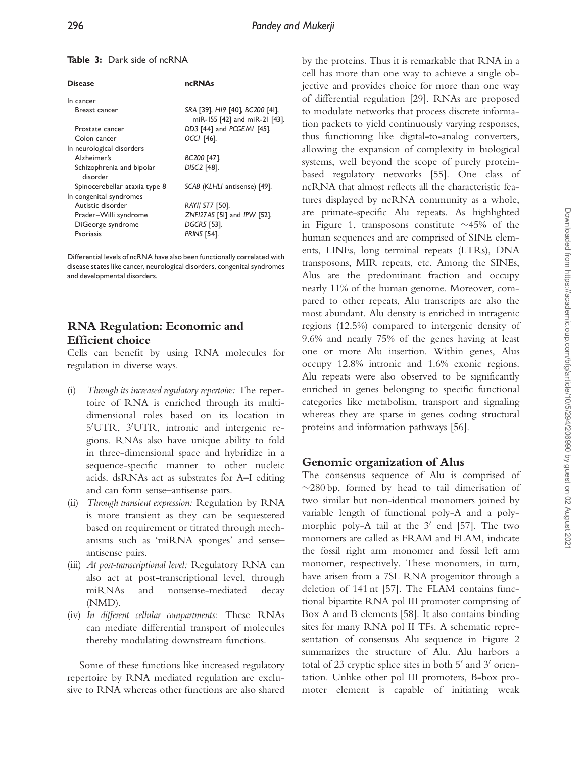|  |  | <b>Table 3:</b> Dark side of ncRNA |
|--|--|------------------------------------|
|  |  |                                    |

| <b>Disease</b>                                          | <b>ncRNAs</b>                                                           |
|---------------------------------------------------------|-------------------------------------------------------------------------|
| In cancer                                               |                                                                         |
| Breast cancer                                           | SRA [39], HI9 [40], BC200 [41],<br>miR-155 [42] and miR-21 [43].        |
| Prostate cancer                                         | DD3 [44] and PCGEMI [45].                                               |
| Colon cancer                                            | OCCI [46].                                                              |
| In neurological disorders                               |                                                                         |
| Alzheimer's                                             | BC200 [47].                                                             |
| Schizophrenia and bipolar<br>disorder                   | DISC2 [48].                                                             |
| Spinocerebellar ataxia type 8                           | SCA8 (KLHLI antisense) [49].                                            |
| In congenital syndromes                                 |                                                                         |
| Autistic disorder                                       | RAYI/ ST7 [50].                                                         |
| Prader-Willi syndrome<br>DiGeorge syndrome<br>Psoriasis | ZNFI27AS [51] and IPW [52].<br><b>DGCR5</b> [53].<br><b>PRINS [54].</b> |

Differential levels of ncRNA have also been functionally correlated with disease states like cancer, neurological disorders, congenital syndromes and developmental disorders.

# RNA Regulation: Economic and Efficient choice

Cells can benefit by using RNA molecules for regulation in diverse ways.

- (i) Through its increased regulatory repertoire: The repertoire of RNA is enriched through its multidimensional roles based on its location in 5'UTR, 3'UTR, intronic and intergenic regions. RNAs also have unique ability to fold in three-dimensional space and hybridize in a sequence-specific manner to other nucleic acids. dsRNAs act as substrates for A^I editing and can form sense–antisense pairs.
- (ii) Through transient expression: Regulation by RNA is more transient as they can be sequestered based on requirement or titrated through mechanisms such as 'miRNA sponges' and sense– antisense pairs.
- (iii) At post-transcriptional level: Regulatory RNA can also act at post-transcriptional level, through miRNAs and nonsense-mediated decay (NMD).
- (iv) In different cellular compartments: These RNAs can mediate differential transport of molecules thereby modulating downstream functions.

Some of these functions like increased regulatory repertoire by RNA mediated regulation are exclusive to RNA whereas other functions are also shared by the proteins. Thus it is remarkable that RNA in a cell has more than one way to achieve a single objective and provides choice for more than one way of differential regulation [29]. RNAs are proposed to modulate networks that process discrete information packets to yield continuously varying responses, thus functioning like digital-to-analog converters, allowing the expansion of complexity in biological systems, well beyond the scope of purely proteinbased regulatory networks [55]. One class of ncRNA that almost reflects all the characteristic features displayed by ncRNA community as a whole, are primate-specific Alu repeats. As highlighted in Figure 1, transposons constitute  $\sim$ 45% of the human sequences and are comprised of SINE elements, LINEs, long terminal repeats (LTRs), DNA transposons, MIR repeats, etc. Among the SINEs, Alus are the predominant fraction and occupy nearly 11% of the human genome. Moreover, compared to other repeats, Alu transcripts are also the most abundant. Alu density is enriched in intragenic regions (12.5%) compared to intergenic density of 9.6% and nearly 75% of the genes having at least one or more Alu insertion. Within genes, Alus occupy 12.8% intronic and 1.6% exonic regions. Alu repeats were also observed to be significantly enriched in genes belonging to specific functional categories like metabolism, transport and signaling whereas they are sparse in genes coding structural proteins and information pathways [56].

# Genomic organization of Alus

The consensus sequence of Alu is comprised of  $\sim$ 280 bp, formed by head to tail dimerisation of two similar but non-identical monomers joined by variable length of functional poly-A and a polymorphic poly-A tail at the  $3'$  end [57]. The two monomers are called as FRAM and FLAM, indicate the fossil right arm monomer and fossil left arm monomer, respectively. These monomers, in turn, have arisen from a 7SL RNA progenitor through a deletion of 141 nt [57]. The FLAM contains functional bipartite RNA pol III promoter comprising of Box A and B elements [58]. It also contains binding sites for many RNA pol II TFs. A schematic representation of consensus Alu sequence in Figure 2 summarizes the structure of Alu. Alu harbors a total of 23 cryptic splice sites in both 5' and 3' orientation. Unlike other pol III promoters, B-box promoter element is capable of initiating weak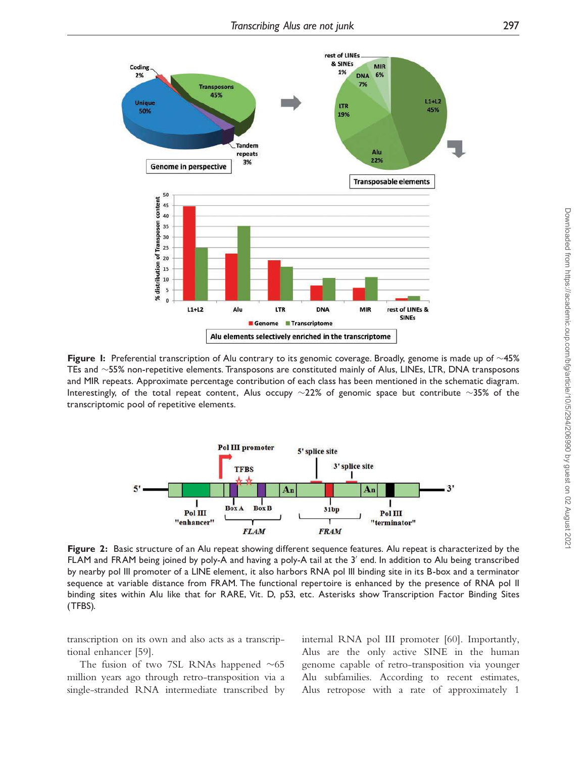

Figure 1: Preferential transcription of Alu contrary to its genomic coverage. Broadly, genome is made up of  $\sim$ 45% TEs and  $\sim$ 55% non-repetitive elements. Transposons are constituted mainly of Alus, LINEs, LTR, DNA transposons and MIR repeats. Approximate percentage contribution of each class has been mentioned in the schematic diagram. Interestingly, of the total repeat content, Alus occupy  $\sim$ 22% of genomic space but contribute  $\sim$ 35% of the transcriptomic pool of repetitive elements.



Figure 2: Basic structure of an Alu repeat showing different sequence features. Alu repeat is characterized by the FLAM and FRAM being joined by poly-A and having a poly-A tail at the 3' end. In addition to Alu being transcribed by nearby pol III promoter of a LINE element, it also harbors RNA pol III binding site in its B-box and a terminator sequence at variable distance from FRAM. The functional repertoire is enhanced by the presence of RNA pol II binding sites within Alu like that for RARE, Vit. D, p53, etc. Asterisks show Transcription Factor Binding Sites (TFBS).

transcription on its own and also acts as a transcriptional enhancer [59].

The fusion of two 7SL RNAs happened  $\sim 65$ million years ago through retro-transposition via a single-stranded RNA intermediate transcribed by internal RNA pol III promoter [60]. Importantly, Alus are the only active SINE in the human genome capable of retro-transposition via younger Alu subfamilies. According to recent estimates, Alus retropose with a rate of approximately 1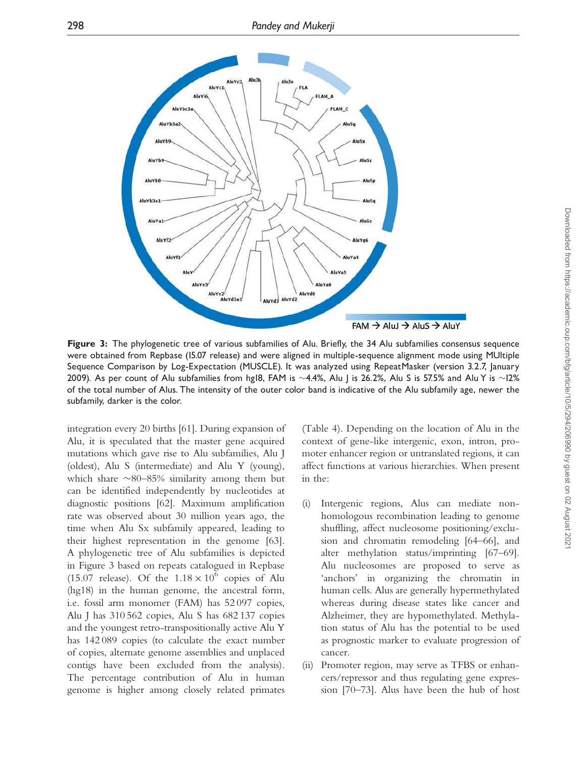

Figure 3: The phylogenetic tree of various subfamilies of Alu. Briefly, the 34 Alu subfamilies consensus sequence were obtained from Repbase (15.07 release) and were aligned in multiple-sequence alignment mode using MUltiple Sequence Comparison by Log-Expectation (MUSCLE). It was analyzed using RepeatMasker (version 3.2.7, January 2009). As per count of Alu subfamilies from hgI8, FAM is  $\sim$ 4.4%, Alu J is 26.2%, Alu S is 57.5% and Alu Y is  $\sim$ 12% of the total number of Alus. The intensity of the outer color band is indicative of the Alu subfamily age, newer the subfamily, darker is the color.

integration every 20 births [61]. During expansion of Alu, it is speculated that the master gene acquired mutations which gave rise to Alu subfamilies, Alu J (oldest), Alu S (intermediate) and Alu Y (young), which share  $\sim$ 80–85% similarity among them but can be identified independently by nucleotides at diagnostic positions [62]. Maximum amplification rate was observed about 30 million years ago, the time when Alu Sx subfamily appeared, leading to their highest representation in the genome [63]. A phylogenetic tree of Alu subfamilies is depicted in Figure 3 based on repeats catalogued in Repbase (15.07 release). Of the  $1.18 \times 10^6$  copies of Alu (hg18) in the human genome, the ancestral form, i.e. fossil arm monomer (FAM) has 52 097 copies, Alu J has 310 562 copies, Alu S has 682 137 copies and the youngest retro-transpositionally active Alu Y has 142 089 copies (to calculate the exact number of copies, alternate genome assemblies and unplaced contigs have been excluded from the analysis). The percentage contribution of Alu in human genome is higher among closely related primates

(Table 4). Depending on the location of Alu in the context of gene-like intergenic, exon, intron, promoter enhancer region or untranslated regions, it can affect functions at various hierarchies. When present in the:

- (i) Intergenic regions, Alus can mediate nonhomologous recombination leading to genome shuffling, affect nucleosome positioning/exclusion and chromatin remodeling [64–66], and alter methylation status/imprinting [67–69]. Alu nucleosomes are proposed to serve as 'anchors' in organizing the chromatin in human cells. Alus are generally hypermethylated whereas during disease states like cancer and Alzheimer, they are hypomethylated. Methylation status of Alu has the potential to be used as prognostic marker to evaluate progression of cancer.
- (ii) Promoter region, may serve as TFBS or enhancers/repressor and thus regulating gene expression [70–73]. Alus have been the hub of host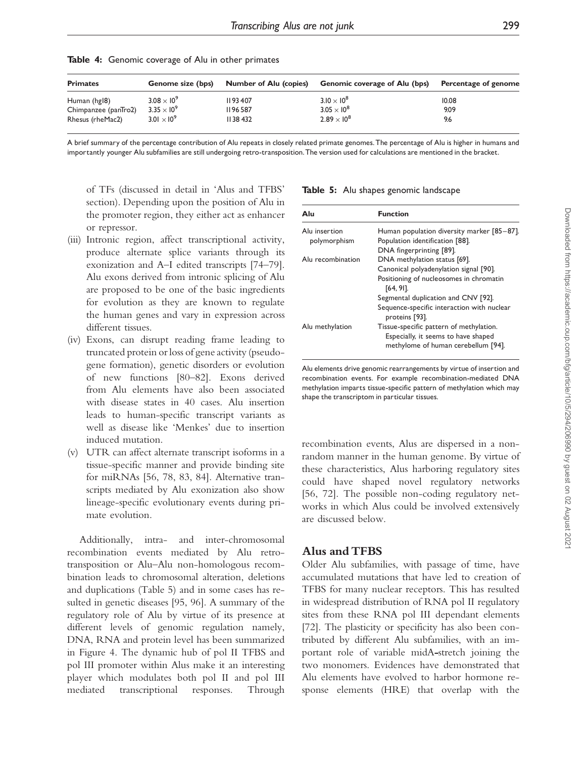| <b>Primates</b>      | <b>Genome size (bps)</b> | <b>Number of Alu (copies)</b> | <b>Genomic coverage of Alu (bps)</b> | Percentage of genome |
|----------------------|--------------------------|-------------------------------|--------------------------------------|----------------------|
| Human (hgl8)         | $3.08 \times 10^{9}$     | II 93 407                     | $3.10 \times 10^{8}$                 | 10.08                |
| Chimpanzee (panTro2) | $3.35 \times 10^9$       | II 96 587                     | $3.05 \times 10^8$                   | 9.09                 |
| Rhesus (rheMac2)     | $3.01 \times 10^{9}$     | II 38 432                     | $2.89 \times 10^{8}$                 | 9.6                  |

Table 4: Genomic coverage of Alu in other primates

A brief summary of the percentage contribution of Alu repeats in closely related primate genomes.The percentage of Alu is higher in humans and importantly younger Alu subfamilies are still undergoing retro-transposition.The version used for calculations are mentioned in the bracket.

of TFs (discussed in detail in 'Alus and TFBS' section). Depending upon the position of Alu in the promoter region, they either act as enhancer or repressor.

- (iii) Intronic region, affect transcriptional activity, produce alternate splice variants through its exonization and A–I edited transcripts [74–79]. Alu exons derived from intronic splicing of Alu are proposed to be one of the basic ingredients for evolution as they are known to regulate the human genes and vary in expression across different tissues.
- (iv) Exons, can disrupt reading frame leading to truncated protein or loss of gene activity (pseudogene formation), genetic disorders or evolution of new functions [80–82]. Exons derived from Alu elements have also been associated with disease states in 40 cases. Alu insertion leads to human-specific transcript variants as well as disease like 'Menkes' due to insertion induced mutation.
- (v) UTR can affect alternate transcript isoforms in a tissue-specific manner and provide binding site for miRNAs [56, 78, 83, 84]. Alternative transcripts mediated by Alu exonization also show lineage-specific evolutionary events during primate evolution.

Additionally, intra- and inter-chromosomal recombination events mediated by Alu retrotransposition or Alu–Alu non-homologous recombination leads to chromosomal alteration, deletions and duplications (Table 5) and in some cases has resulted in genetic diseases [95, 96]. A summary of the regulatory role of Alu by virtue of its presence at different levels of genomic regulation namely, DNA, RNA and protein level has been summarized in Figure 4. The dynamic hub of pol II TFBS and pol III promoter within Alus make it an interesting player which modulates both pol II and pol III mediated transcriptional responses. Through

|  |  |  |  |  | Table 5: Alu shapes genomic landscape |
|--|--|--|--|--|---------------------------------------|
|--|--|--|--|--|---------------------------------------|

| Alu               | <b>Function</b>                                                                                                       |
|-------------------|-----------------------------------------------------------------------------------------------------------------------|
| Alu insertion     | Human population diversity marker [85-87].                                                                            |
| polymorphism      | Population identification [88].                                                                                       |
|                   | DNA fingerprinting [89].                                                                                              |
| Alu recombination | DNA methylation status [69].                                                                                          |
|                   | Canonical polyadenylation signal [90].                                                                                |
|                   | Positioning of nucleosomes in chromatin<br>$[64, 91]$ .                                                               |
|                   | Segmental duplication and CNV [92].                                                                                   |
|                   | Sequence-specific interaction with nuclear<br>proteins [93].                                                          |
| Alu methylation   | Tissue-specific pattern of methylation.<br>Especially, it seems to have shaped<br>methylome of human cerebellum [94]. |

Alu elements drive genomic rearrangements by virtue of insertion and recombination events. For example recombination-mediated DNA methylation imparts tissue-specific pattern of methylation which may shape the transcriptom in particular tissues.

recombination events, Alus are dispersed in a nonrandom manner in the human genome. By virtue of these characteristics, Alus harboring regulatory sites could have shaped novel regulatory networks [56, 72]. The possible non-coding regulatory networks in which Alus could be involved extensively are discussed below.

#### Alus and TFBS

Older Alu subfamilies, with passage of time, have accumulated mutations that have led to creation of TFBS for many nuclear receptors. This has resulted in widespread distribution of RNA pol II regulatory sites from these RNA pol III dependant elements [72]. The plasticity or specificity has also been contributed by different Alu subfamilies, with an important role of variable midA-stretch joining the two monomers. Evidences have demonstrated that Alu elements have evolved to harbor hormone response elements (HRE) that overlap with the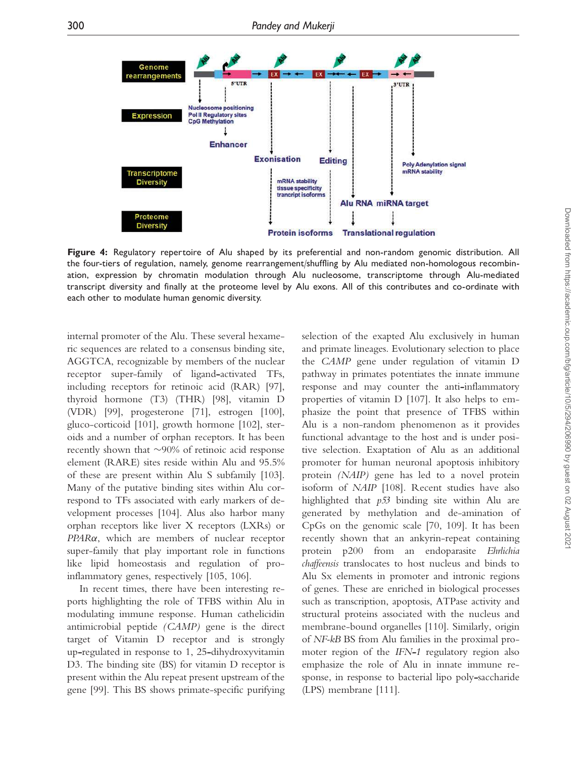

Figure 4: Regulatory repertoire of Alu shaped by its preferential and non-random genomic distribution. All the four-tiers of regulation, namely, genome rearrangement/shuffling by Alu mediated non-homologous recombination, expression by chromatin modulation through Alu nucleosome, transcriptome through Alu-mediated transcript diversity and finally at the proteome level by Alu exons. All of this contributes and co-ordinate with each other to modulate human genomic diversity.

internal promoter of the Alu. These several hexameric sequences are related to a consensus binding site, AGGTCA, recognizable by members of the nuclear receptor super-family of ligand-activated TFs, including receptors for retinoic acid (RAR) [97], thyroid hormone (T3) (THR) [98], vitamin D (VDR) [99], progesterone [71], estrogen [100], gluco-corticoid [101], growth hormone [102], steroids and a number of orphan receptors. It has been recently shown that  $\sim$ 90% of retinoic acid response element (RARE) sites reside within Alu and 95.5% of these are present within Alu S subfamily [103]. Many of the putative binding sites within Alu correspond to TFs associated with early markers of development processes [104]. Alus also harbor many orphan receptors like liver X receptors (LXRs) or  $PPAR\alpha$ , which are members of nuclear receptor super-family that play important role in functions like lipid homeostasis and regulation of proinflammatory genes, respectively [105, 106].

In recent times, there have been interesting reports highlighting the role of TFBS within Alu in modulating immune response. Human cathelicidin antimicrobial peptide (CAMP) gene is the direct target of Vitamin D receptor and is strongly up-regulated in response to 1, 25-dihydroxyvitamin D3. The binding site (BS) for vitamin D receptor is present within the Alu repeat present upstream of the gene [99]. This BS shows primate-specific purifying selection of the exapted Alu exclusively in human and primate lineages. Evolutionary selection to place the CAMP gene under regulation of vitamin D pathway in primates potentiates the innate immune response and may counter the anti-inflammatory properties of vitamin D [107]. It also helps to emphasize the point that presence of TFBS within Alu is a non-random phenomenon as it provides functional advantage to the host and is under positive selection. Exaptation of Alu as an additional promoter for human neuronal apoptosis inhibitory protein (NAIP) gene has led to a novel protein isoform of NAIP [108]. Recent studies have also highlighted that p53 binding site within Alu are generated by methylation and de-amination of CpGs on the genomic scale [70, 109]. It has been recently shown that an ankyrin-repeat containing protein p200 from an endoparasite Ehrlichia chaffeensis translocates to host nucleus and binds to Alu Sx elements in promoter and intronic regions of genes. These are enriched in biological processes such as transcription, apoptosis, ATPase activity and structural proteins associated with the nucleus and membrane-bound organelles [110]. Similarly, origin of NF-kB BS from Alu families in the proximal promoter region of the IFN-1 regulatory region also emphasize the role of Alu in innate immune response, in response to bacterial lipo poly-saccharide (LPS) membrane [111].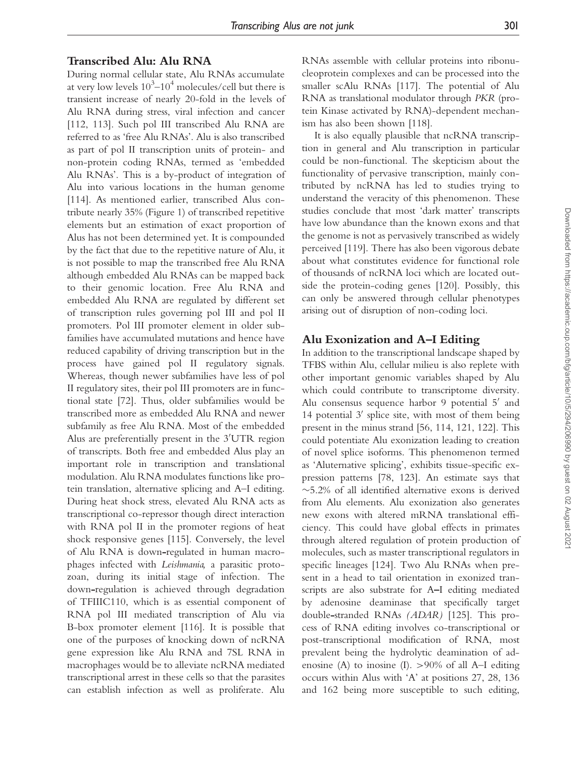## Transcribed Alu: Alu RNA

During normal cellular state, Alu RNAs accumulate at very low levels  $10^3$ – $10^4$  molecules/cell but there is transient increase of nearly 20-fold in the levels of Alu RNA during stress, viral infection and cancer [112, 113]. Such pol III transcribed Alu RNA are referred to as 'free Alu RNAs'. Alu is also transcribed as part of pol II transcription units of protein- and non-protein coding RNAs, termed as 'embedded Alu RNAs'. This is a by-product of integration of Alu into various locations in the human genome [114]. As mentioned earlier, transcribed Alus contribute nearly 35% (Figure 1) of transcribed repetitive elements but an estimation of exact proportion of Alus has not been determined yet. It is compounded by the fact that due to the repetitive nature of Alu, it is not possible to map the transcribed free Alu RNA although embedded Alu RNAs can be mapped back to their genomic location. Free Alu RNA and embedded Alu RNA are regulated by different set of transcription rules governing pol III and pol II promoters. Pol III promoter element in older subfamilies have accumulated mutations and hence have reduced capability of driving transcription but in the process have gained pol II regulatory signals. Whereas, though newer subfamilies have less of pol II regulatory sites, their pol III promoters are in functional state [72]. Thus, older subfamilies would be transcribed more as embedded Alu RNA and newer subfamily as free Alu RNA. Most of the embedded Alus are preferentially present in the  $3'UTR$  region of transcripts. Both free and embedded Alus play an important role in transcription and translational modulation. Alu RNA modulates functions like protein translation, alternative splicing and A–I editing. During heat shock stress, elevated Alu RNA acts as transcriptional co-repressor though direct interaction with RNA pol II in the promoter regions of heat shock responsive genes [115]. Conversely, the level of Alu RNA is down-regulated in human macrophages infected with Leishmania, a parasitic protozoan, during its initial stage of infection. The down-regulation is achieved through degradation of TFIIIC110, which is as essential component of RNA pol III mediated transcription of Alu via B-box promoter element [116]. It is possible that one of the purposes of knocking down of ncRNA gene expression like Alu RNA and 7SL RNA in macrophages would be to alleviate ncRNA mediated transcriptional arrest in these cells so that the parasites can establish infection as well as proliferate. Alu

RNAs assemble with cellular proteins into ribonucleoprotein complexes and can be processed into the smaller scAlu RNAs [117]. The potential of Alu RNA as translational modulator through PKR (protein Kinase activated by RNA)-dependent mechanism has also been shown [118].

It is also equally plausible that ncRNA transcription in general and Alu transcription in particular could be non-functional. The skepticism about the functionality of pervasive transcription, mainly contributed by ncRNA has led to studies trying to understand the veracity of this phenomenon. These studies conclude that most 'dark matter' transcripts have low abundance than the known exons and that the genome is not as pervasively transcribed as widely perceived [119]. There has also been vigorous debate about what constitutes evidence for functional role of thousands of ncRNA loci which are located outside the protein-coding genes [120]. Possibly, this can only be answered through cellular phenotypes arising out of disruption of non-coding loci.

## Alu Exonization and A^I Editing

In addition to the transcriptional landscape shaped by TFBS within Alu, cellular milieu is also replete with other important genomic variables shaped by Alu which could contribute to transcriptome diversity. Alu consensus sequence harbor 9 potential 5' and 14 potential  $3'$  splice site, with most of them being present in the minus strand [56, 114, 121, 122]. This could potentiate Alu exonization leading to creation of novel splice isoforms. This phenomenon termed as 'Aluternative splicing', exhibits tissue-specific expression patterns [78, 123]. An estimate says that -5.2% of all identified alternative exons is derived from Alu elements. Alu exonization also generates new exons with altered mRNA translational efficiency. This could have global effects in primates through altered regulation of protein production of molecules, such as master transcriptional regulators in specific lineages [124]. Two Alu RNAs when present in a head to tail orientation in exonized transcripts are also substrate for A-I editing mediated by adenosine deaminase that specifically target double-stranded RNAs (ADAR) [125]. This process of RNA editing involves co-transcriptional or post-transcriptional modification of RNA, most prevalent being the hydrolytic deamination of adenosine (A) to inosine (I).  $>90\%$  of all A–I editing occurs within Alus with 'A' at positions 27, 28, 136 and 162 being more susceptible to such editing,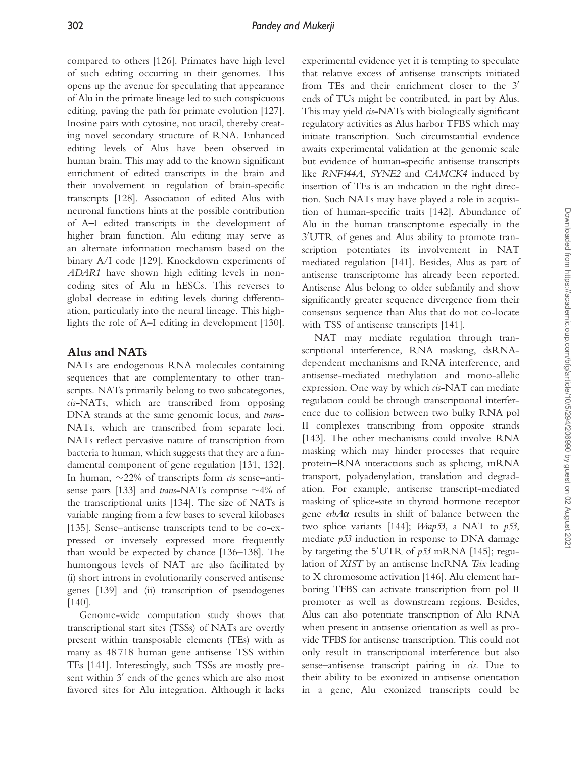compared to others [126]. Primates have high level of such editing occurring in their genomes. This opens up the avenue for speculating that appearance of Alu in the primate lineage led to such conspicuous editing, paving the path for primate evolution [127]. Inosine pairs with cytosine, not uracil, thereby creating novel secondary structure of RNA. Enhanced editing levels of Alus have been observed in human brain. This may add to the known significant enrichment of edited transcripts in the brain and their involvement in regulation of brain-specific transcripts [128]. Association of edited Alus with neuronal functions hints at the possible contribution of A^I edited transcripts in the development of higher brain function. Alu editing may serve as an alternate information mechanism based on the binary A/I code [129]. Knockdown experiments of ADAR1 have shown high editing levels in noncoding sites of Alu in hESCs. This reverses to global decrease in editing levels during differentiation, particularly into the neural lineage. This highlights the role of A^I editing in development [130].

### Alus and NATs

NATs are endogenous RNA molecules containing sequences that are complementary to other transcripts. NATs primarily belong to two subcategories, cis-NATs, which are transcribed from opposing DNA strands at the same genomic locus, and trans-NATs, which are transcribed from separate loci. NATs reflect pervasive nature of transcription from bacteria to human, which suggests that they are a fundamental component of gene regulation [131, 132]. In human,  $\sim$ 22% of transcripts form *cis* sense-antisense pairs [133] and trans-NATs comprise  $\sim$  4% of the transcriptional units [134]. The size of NATs is variable ranging from a few bases to several kilobases [135]. Sense–antisense transcripts tend to be co-expressed or inversely expressed more frequently than would be expected by chance [136–138]. The humongous levels of NAT are also facilitated by (i) short introns in evolutionarily conserved antisense genes [139] and (ii) transcription of pseudogenes [140].

Genome-wide computation study shows that transcriptional start sites (TSSs) of NATs are overtly present within transposable elements (TEs) with as many as 48 718 human gene antisense TSS within TEs [141]. Interestingly, such TSSs are mostly present within 3' ends of the genes which are also most favored sites for Alu integration. Although it lacks

experimental evidence yet it is tempting to speculate that relative excess of antisense transcripts initiated from TEs and their enrichment closer to the  $3'$ ends of TUs might be contributed, in part by Alus. This may yield cis-NATs with biologically significant regulatory activities as Alus harbor TFBS which may initiate transcription. Such circumstantial evidence awaits experimental validation at the genomic scale but evidence of human-specific antisense transcripts like RNF144A, SYNE2 and CAMCK4 induced by insertion of TEs is an indication in the right direction. Such NATs may have played a role in acquisition of human-specific traits [142]. Abundance of Alu in the human transcriptome especially in the 3 <sup>0</sup>UTR of genes and Alus ability to promote transcription potentiates its involvement in NAT mediated regulation [141]. Besides, Alus as part of antisense transcriptome has already been reported. Antisense Alus belong to older subfamily and show significantly greater sequence divergence from their consensus sequence than Alus that do not co-locate with TSS of antisense transcripts [141].

NAT may mediate regulation through transcriptional interference, RNA masking, dsRNAdependent mechanisms and RNA interference, and antisense-mediated methylation and mono-allelic expression. One way by which cis-NAT can mediate regulation could be through transcriptional interference due to collision between two bulky RNA pol II complexes transcribing from opposite strands [143]. The other mechanisms could involve RNA masking which may hinder processes that require protein-RNA interactions such as splicing, mRNA transport, polyadenylation, translation and degradation. For example, antisense transcript-mediated masking of splice-site in thyroid hormone receptor gene  $erbA\alpha$  results in shift of balance between the two splice variants [144]; *Wrap53*, a NAT to  $p53$ , mediate p53 induction in response to DNA damage by targeting the 5'UTR of  $p53$  mRNA [145]; regulation of XIST by an antisense lncRNA Tsix leading to X chromosome activation [146]. Alu element harboring TFBS can activate transcription from pol II promoter as well as downstream regions. Besides, Alus can also potentiate transcription of Alu RNA when present in antisense orientation as well as provide TFBS for antisense transcription. This could not only result in transcriptional interference but also sense–antisense transcript pairing in *cis*. Due to their ability to be exonized in antisense orientation in a gene, Alu exonized transcripts could be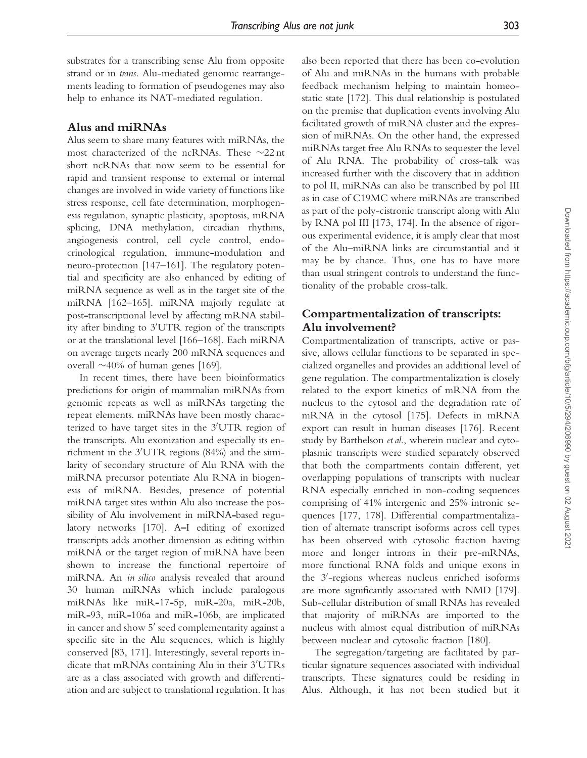substrates for a transcribing sense Alu from opposite strand or in trans. Alu-mediated genomic rearrangements leading to formation of pseudogenes may also help to enhance its NAT-mediated regulation.

## Alus and miRNAs

Alus seem to share many features with miRNAs, the most characterized of the ncRNAs. These  $\sim$ 22 nt short ncRNAs that now seem to be essential for rapid and transient response to external or internal changes are involved in wide variety of functions like stress response, cell fate determination, morphogenesis regulation, synaptic plasticity, apoptosis, mRNA splicing, DNA methylation, circadian rhythms, angiogenesis control, cell cycle control, endocrinological regulation, immune-modulation and neuro-protection [147–161]. The regulatory potential and specificity are also enhanced by editing of miRNA sequence as well as in the target site of the miRNA [162–165]. miRNA majorly regulate at post-transcriptional level by affecting mRNA stability after binding to  $3'UTR$  region of the transcripts or at the translational level [166–168]. Each miRNA on average targets nearly 200 mRNA sequences and overall  $\sim$  40% of human genes [169].

In recent times, there have been bioinformatics predictions for origin of mammalian miRNAs from genomic repeats as well as miRNAs targeting the repeat elements. miRNAs have been mostly characterized to have target sites in the  $3'UTR$  region of the transcripts. Alu exonization and especially its enrichment in the  $3'UTR$  regions (84%) and the similarity of secondary structure of Alu RNA with the miRNA precursor potentiate Alu RNA in biogenesis of miRNA. Besides, presence of potential miRNA target sites within Alu also increase the possibility of Alu involvement in miRNA-based regulatory networks [170]. A-I editing of exonized transcripts adds another dimension as editing within miRNA or the target region of miRNA have been shown to increase the functional repertoire of miRNA. An in silico analysis revealed that around 30 human miRNAs which include paralogous miRNAs like miR-17-5p, miR-20a, miR-20b, miR-93, miR-106a and miR-106b, are implicated in cancer and show 5' seed complementarity against a specific site in the Alu sequences, which is highly conserved [83, 171]. Interestingly, several reports indicate that mRNAs containing Alu in their  $3'UTRs$ are as a class associated with growth and differentiation and are subject to translational regulation. It has also been reported that there has been co-evolution of Alu and miRNAs in the humans with probable feedback mechanism helping to maintain homeostatic state [172]. This dual relationship is postulated on the premise that duplication events involving Alu facilitated growth of miRNA cluster and the expression of miRNAs. On the other hand, the expressed miRNAs target free Alu RNAs to sequester the level of Alu RNA. The probability of cross-talk was increased further with the discovery that in addition to pol II, miRNAs can also be transcribed by pol III as in case of C19MC where miRNAs are transcribed as part of the poly-cistronic transcript along with Alu by RNA pol III [173, 174]. In the absence of rigorous experimental evidence, it is amply clear that most of the Alu–miRNA links are circumstantial and it may be by chance. Thus, one has to have more than usual stringent controls to understand the functionality of the probable cross-talk.

# Compartmentalization of transcripts: Alu involvement?

Compartmentalization of transcripts, active or passive, allows cellular functions to be separated in specialized organelles and provides an additional level of gene regulation. The compartmentalization is closely related to the export kinetics of mRNA from the nucleus to the cytosol and the degradation rate of mRNA in the cytosol [175]. Defects in mRNA export can result in human diseases [176]. Recent study by Barthelson et al., wherein nuclear and cytoplasmic transcripts were studied separately observed that both the compartments contain different, yet overlapping populations of transcripts with nuclear RNA especially enriched in non-coding sequences comprising of 41% intergenic and 25% intronic sequences [177, 178]. Differential compartmentalization of alternate transcript isoforms across cell types has been observed with cytosolic fraction having more and longer introns in their pre-mRNAs, more functional RNA folds and unique exons in the 3'-regions whereas nucleus enriched isoforms are more significantly associated with NMD [179]. Sub-cellular distribution of small RNAs has revealed that majority of miRNAs are imported to the nucleus with almost equal distribution of miRNAs between nuclear and cytosolic fraction [180].

The segregation/targeting are facilitated by particular signature sequences associated with individual transcripts. These signatures could be residing in Alus. Although, it has not been studied but it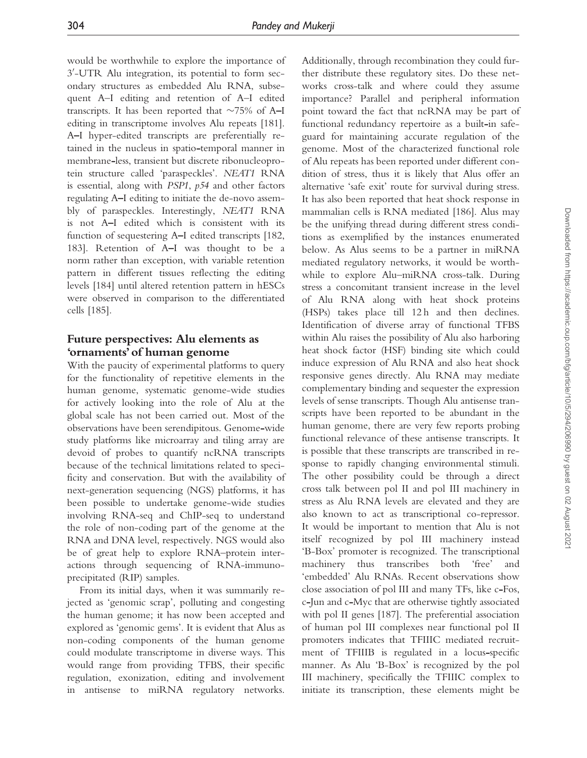would be worthwhile to explore the importance of 3 0 -UTR Alu integration, its potential to form secondary structures as embedded Alu RNA, subsequent A–I editing and retention of A–I edited transcripts. It has been reported that  $\sim$ 75% of A-I editing in transcriptome involves Alu repeats [181]. A-I hyper-edited transcripts are preferentially retained in the nucleus in spatio-temporal manner in membrane-less, transient but discrete ribonucleoprotein structure called 'paraspeckles'. NEAT1 RNA is essential, along with PSP1, p54 and other factors regulating A-I editing to initiate the de-novo assembly of paraspeckles. Interestingly, NEAT1 RNA is not A-I edited which is consistent with its function of sequestering A–I edited transcripts [182, 183]. Retention of A-I was thought to be a norm rather than exception, with variable retention pattern in different tissues reflecting the editing levels [184] until altered retention pattern in hESCs were observed in comparison to the differentiated cells [185].

# Future perspectives: Alu elements as 'ornaments'of human genome

With the paucity of experimental platforms to query for the functionality of repetitive elements in the human genome, systematic genome-wide studies for actively looking into the role of Alu at the global scale has not been carried out. Most of the observations have been serendipitous. Genome-wide study platforms like microarray and tiling array are devoid of probes to quantify ncRNA transcripts because of the technical limitations related to specificity and conservation. But with the availability of next-generation sequencing (NGS) platforms, it has been possible to undertake genome-wide studies involving RNA-seq and ChIP-seq to understand the role of non-coding part of the genome at the RNA and DNA level, respectively. NGS would also be of great help to explore RNA–protein interactions through sequencing of RNA-immunoprecipitated (RIP) samples.

From its initial days, when it was summarily rejected as 'genomic scrap', polluting and congesting the human genome; it has now been accepted and explored as 'genomic gems'. It is evident that Alus as non-coding components of the human genome could modulate transcriptome in diverse ways. This would range from providing TFBS, their specific regulation, exonization, editing and involvement in antisense to miRNA regulatory networks.

Additionally, through recombination they could further distribute these regulatory sites. Do these networks cross-talk and where could they assume importance? Parallel and peripheral information point toward the fact that ncRNA may be part of functional redundancy repertoire as a built-in safeguard for maintaining accurate regulation of the genome. Most of the characterized functional role of Alu repeats has been reported under different condition of stress, thus it is likely that Alus offer an alternative 'safe exit' route for survival during stress. It has also been reported that heat shock response in mammalian cells is RNA mediated [186]. Alus may be the unifying thread during different stress conditions as exemplified by the instances enumerated below. As Alus seems to be a partner in miRNA mediated regulatory networks, it would be worthwhile to explore Alu–miRNA cross-talk. During stress a concomitant transient increase in the level of Alu RNA along with heat shock proteins (HSPs) takes place till 12 h and then declines. Identification of diverse array of functional TFBS within Alu raises the possibility of Alu also harboring heat shock factor (HSF) binding site which could induce expression of Alu RNA and also heat shock responsive genes directly. Alu RNA may mediate complementary binding and sequester the expression levels of sense transcripts. Though Alu antisense transcripts have been reported to be abundant in the human genome, there are very few reports probing functional relevance of these antisense transcripts. It is possible that these transcripts are transcribed in response to rapidly changing environmental stimuli. The other possibility could be through a direct cross talk between pol II and pol III machinery in stress as Alu RNA levels are elevated and they are also known to act as transcriptional co-repressor. It would be important to mention that Alu is not itself recognized by pol III machinery instead 'B-Box' promoter is recognized. The transcriptional machinery thus transcribes both 'free' and 'embedded' Alu RNAs. Recent observations show close association of pol III and many TFs, like c-Fos, c-Jun and c-Myc that are otherwise tightly associated with pol II genes [187]. The preferential association of human pol III complexes near functional pol II promoters indicates that TFIIIC mediated recruitment of TFIIIB is regulated in a locus-specific manner. As Alu 'B-Box' is recognized by the pol III machinery, specifically the TFIIIC complex to initiate its transcription, these elements might be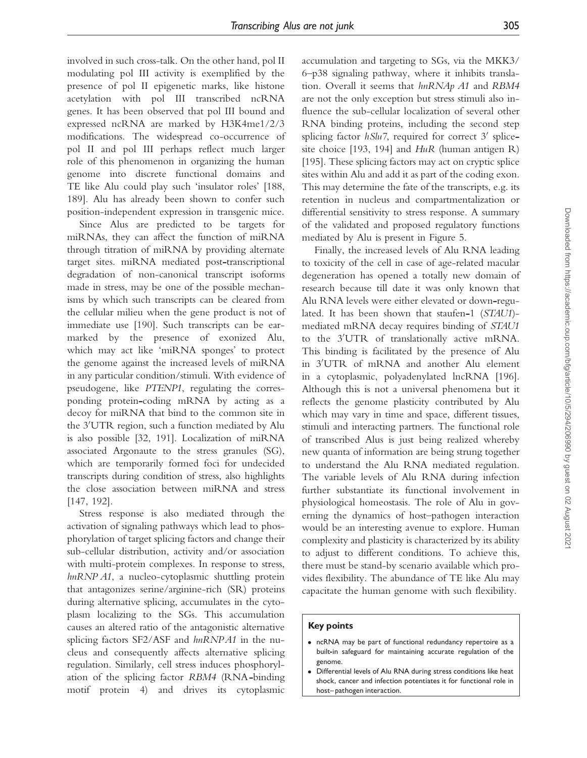involved in such cross-talk. On the other hand, pol II modulating pol III activity is exemplified by the presence of pol II epigenetic marks, like histone acetylation with pol III transcribed ncRNA genes. It has been observed that pol III bound and expressed ncRNA are marked by H3K4me1/2/3 modifications. The widespread co-occurrence of pol II and pol III perhaps reflect much larger role of this phenomenon in organizing the human genome into discrete functional domains and TE like Alu could play such 'insulator roles' [188, 189]. Alu has already been shown to confer such position-independent expression in transgenic mice.

Since Alus are predicted to be targets for miRNAs, they can affect the function of miRNA through titration of miRNA by providing alternate target sites. miRNA mediated post-transcriptional degradation of non-canonical transcript isoforms made in stress, may be one of the possible mechanisms by which such transcripts can be cleared from the cellular milieu when the gene product is not of immediate use [190]. Such transcripts can be earmarked by the presence of exonized Alu, which may act like 'miRNA sponges' to protect the genome against the increased levels of miRNA in any particular condition/stimuli. With evidence of pseudogene, like PTENP1, regulating the corresponding protein-coding mRNA by acting as a decoy for miRNA that bind to the common site in the  $3'UTR$  region, such a function mediated by Alu is also possible [32, 191]. Localization of miRNA associated Argonaute to the stress granules (SG), which are temporarily formed foci for undecided transcripts during condition of stress, also highlights the close association between miRNA and stress [147, 192].

Stress response is also mediated through the activation of signaling pathways which lead to phosphorylation of target splicing factors and change their sub-cellular distribution, activity and/or association with multi-protein complexes. In response to stress, hnRNP A1, a nucleo-cytoplasmic shuttling protein that antagonizes serine/arginine-rich (SR) proteins during alternative splicing, accumulates in the cytoplasm localizing to the SGs. This accumulation causes an altered ratio of the antagonistic alternative splicing factors SF2/ASF and hnRNPA1 in the nucleus and consequently affects alternative splicing regulation. Similarly, cell stress induces phosphorylation of the splicing factor RBM4 (RNA-binding motif protein 4) and drives its cytoplasmic

accumulation and targeting to SGs, via the MKK3/ 6–p38 signaling pathway, where it inhibits translation. Overall it seems that hnRNAp A1 and RBM4 are not the only exception but stress stimuli also influence the sub-cellular localization of several other RNA binding proteins, including the second step splicing factor  $h$ Slu7, required for correct 3' splicesite choice [193, 194] and  $H u R$  (human antigen R) [195]. These splicing factors may act on cryptic splice sites within Alu and add it as part of the coding exon. This may determine the fate of the transcripts, e.g. its retention in nucleus and compartmentalization or differential sensitivity to stress response. A summary of the validated and proposed regulatory functions mediated by Alu is present in Figure 5.

Finally, the increased levels of Alu RNA leading to toxicity of the cell in case of age-related macular degeneration has opened a totally new domain of research because till date it was only known that Alu RNA levels were either elevated or down-regulated. It has been shown that staufen-1 (STAU1) mediated mRNA decay requires binding of STAU1 to the 3'UTR of translationally active mRNA. This binding is facilitated by the presence of Alu in 3'UTR of mRNA and another Alu element in a cytoplasmic, polyadenylated lncRNA [196]. Although this is not a universal phenomena but it reflects the genome plasticity contributed by Alu which may vary in time and space, different tissues, stimuli and interacting partners. The functional role of transcribed Alus is just being realized whereby new quanta of information are being strung together to understand the Alu RNA mediated regulation. The variable levels of Alu RNA during infection further substantiate its functional involvement in physiological homeostasis. The role of Alu in governing the dynamics of host–pathogen interaction would be an interesting avenue to explore. Human complexity and plasticity is characterized by its ability to adjust to different conditions. To achieve this, there must be stand-by scenario available which provides flexibility. The abundance of TE like Alu may capacitate the human genome with such flexibility.

#### Key points

- ncRNA may be part of functional redundancy repertoire as a built-in safeguard for maintaining accurate regulation of the genome.
- Differential levels of Alu RNA during stress conditions like heat shock, cancer and infection potentiates it for functional role in host-pathogen interaction.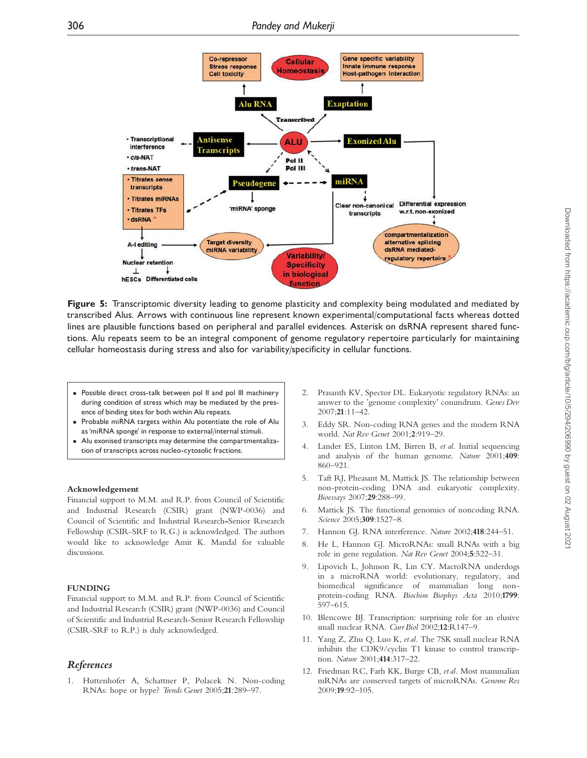

Figure 5: Transcriptomic diversity leading to genome plasticity and complexity being modulated and mediated by transcribed Alus. Arrows with continuous line represent known experimental/computational facts whereas dotted lines are plausible functions based on peripheral and parallel evidences. Asterisk on dsRNA represent shared functions. Alu repeats seem to be an integral component of genome regulatory repertoire particularly for maintaining cellular homeostasis during stress and also for variability/specificity in cellular functions.

- Possible direct cross-talk between pol II and pol III machinery during condition of stress which may be mediated by the presence of binding sites for both within Alu repeats.
- Probable miRNA targets within Alu potentiate the role of Alu as 'miRNA sponge' in response to external/internal stimuli.
- Alu exonised transcripts may determine the compartmentalization of transcripts across nucleo-cytosolic fractions.

#### Acknowledgement

Financial support to M.M. and R.P. from Council of Scientific and Industrial Research (CSIR) grant (NWP-0036) and Council of Scientific and Industrial Research-Senior Research Fellowship (CSIR-SRF to R.G.) is acknowledged. The authors would like to acknowledge Amit K. Mandal for valuable discussions.

#### FUNDING

Financial support to M.M. and R.P. from Council of Scientific and Industrial Research (CSIR) grant (NWP-0036) and Council of Scientific and Industrial Research-Senior Research Fellowship (CSIR-SRF to R.P.) is duly acknowledged.

#### References

1. Huttenhofer A, Schattner P, Polacek N. Non-coding RNAs: hope or hype? Trends Genet 2005;21:289–97.

- 2. Prasanth KV, Spector DL. Eukaryotic regulatory RNAs: an answer to the 'genome complexity' conundrum. Genes Dev 2007;21:11–42.
- 3. Eddy SR. Non-coding RNA genes and the modern RNA world. Nat Rev Genet 2001;2:919–29.
- Lander ES, Linton LM, Birren B, et al. Initial sequencing and analysis of the human genome. Nature 2001;409: 860–921.
- 5. Taft RJ, Pheasant M, Mattick JS. The relationship between non-protein-coding DNA and eukaryotic complexity. Bioessays 2007;29:288–99.
- 6. Mattick JS. The functional genomics of noncoding RNA. Science 2005;309:1527–8.
- 7. Hannon GJ. RNA interference. Nature 2002;418:244–51.
- 8. He L, Hannon GJ. MicroRNAs: small RNAs with a big role in gene regulation. Nat Rev Genet 2004;5:522–31.
- 9. Lipovich L, Johnson R, Lin CY. MacroRNA underdogs in a microRNA world: evolutionary, regulatory, and biomedical significance of mammalian long nonprotein-coding RNA. Biochim Biophys Acta 2010;1799: 597–615.
- 10. Blencowe BJ. Transcription: surprising role for an elusive small nuclear RNA. Curr Biol 2002;12:R147–9.
- 11. Yang Z, Zhu Q, Luo K, et al. The 7SK small nuclear RNA inhibits the CDK9/cyclin T1 kinase to control transcription. Nature 2001;414:317–22.
- 12. Friedman RC, Farh KK, Burge CB, et al. Most mammalian mRNAs are conserved targets of microRNAs. Genome Res 2009;19:92–105.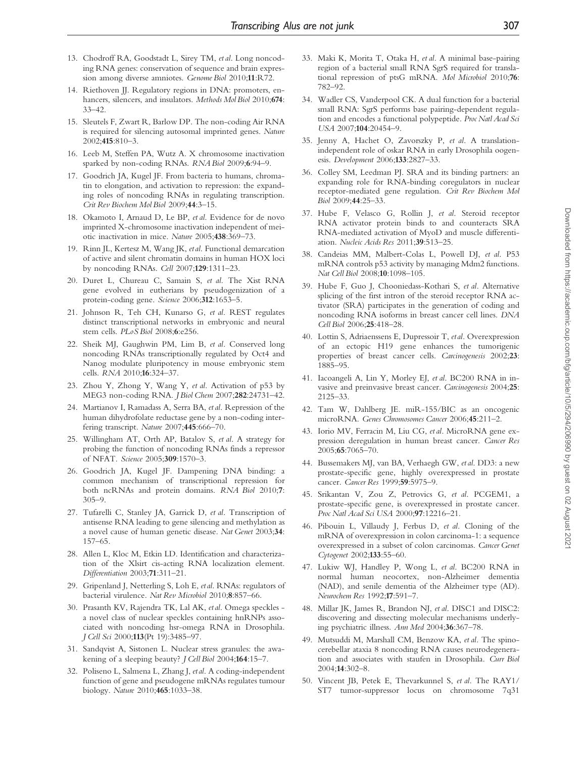- 13. Chodroff RA, Goodstadt L, Sirey TM, et al. Long noncoding RNA genes: conservation of sequence and brain expression among diverse amniotes. Genome Biol 2010;11:R72.
- 14. Riethoven JJ. Regulatory regions in DNA: promoters, enhancers, silencers, and insulators. Methods Mol Biol 2010;674: 33–42.
- 15. Sleutels F, Zwart R, Barlow DP. The non-coding Air RNA is required for silencing autosomal imprinted genes. Nature 2002;415:810–3.
- 16. Leeb M, Steffen PA, Wutz A. X chromosome inactivation sparked by non-coding RNAs. RNA Biol 2009;6:94–9.
- 17. Goodrich JA, Kugel JF. From bacteria to humans, chromatin to elongation, and activation to repression: the expanding roles of noncoding RNAs in regulating transcription. Crit Rev Biochem Mol Biol 2009;44:3–15.
- 18. Okamoto I, Arnaud D, Le BP, et al. Evidence for de novo imprinted X-chromosome inactivation independent of meiotic inactivation in mice. Nature 2005;438:369–73.
- 19. Rinn JL, Kertesz M, Wang JK, etal. Functional demarcation of active and silent chromatin domains in human HOX loci by noncoding RNAs. Cell 2007;129:1311–23.
- 20. Duret L, Chureau C, Samain S, et al. The Xist RNA gene evolved in eutherians by pseudogenization of a protein-coding gene. Science 2006;312:1653–5.
- 21. Johnson R, Teh CH, Kunarso G, et al. REST regulates distinct transcriptional networks in embryonic and neural stem cells. PLoS Biol 2008;6:e256.
- 22. Sheik MJ, Gaughwin PM, Lim B, et al. Conserved long noncoding RNAs transcriptionally regulated by Oct4 and Nanog modulate pluripotency in mouse embryonic stem cells. RNA 2010;16:324–37.
- 23. Zhou Y, Zhong Y, Wang Y, et al. Activation of p53 by MEG3 non-coding RNA. J Biol Chem 2007;282:24731–42.
- 24. Martianov I, Ramadass A, Serra BA, et al. Repression of the human dihydrofolate reductase gene by a non-coding interfering transcript. Nature 2007;445:666–70.
- 25. Willingham AT, Orth AP, Batalov S, et al. A strategy for probing the function of noncoding RNAs finds a repressor of NFAT. Science 2005;309:1570–3.
- 26. Goodrich JA, Kugel JF. Dampening DNA binding: a common mechanism of transcriptional repression for both ncRNAs and protein domains. RNA Biol 2010;7: 305–9.
- 27. Tufarelli C, Stanley JA, Garrick D, et al. Transcription of antisense RNA leading to gene silencing and methylation as a novel cause of human genetic disease. Nat Genet 2003;34: 157–65.
- 28. Allen L, Kloc M, Etkin LD. Identification and characterization of the Xlsirt cis-acting RNA localization element. Differentiation 2003;71:311–21.
- 29. Gripenland J, Netterling S, Loh E, etal. RNAs: regulators of bacterial virulence. Nat Rev Microbiol 2010;8:857–66.
- 30. Prasanth KV, Rajendra TK, Lal AK, et al. Omega speckles a novel class of nuclear speckles containing hnRNPs associated with noncoding hsr-omega RNA in Drosophila. J Cell Sci 2000;113(Pt 19):3485–97.
- 31. Sandqvist A, Sistonen L. Nuclear stress granules: the awakening of a sleeping beauty? *J Cell Biol* 2004;164:15-7.
- 32. Poliseno L, Salmena L, Zhang J, etal. A coding-independent function of gene and pseudogene mRNAs regulates tumour biology. Nature 2010;465:1033–38.
- 33. Maki K, Morita T, Otaka H, et al. A minimal base-pairing region of a bacterial small RNA SgrS required for translational repression of ptsG mRNA. Mol Microbiol 2010;76: 782–92.
- 34. Wadler CS, Vanderpool CK. A dual function for a bacterial small RNA: SgrS performs base pairing-dependent regulation and encodes a functional polypeptide. Proc Natl Acad Sci USA 2007;104:20454–9.
- 35. Jenny A, Hachet O, Zavorszky P, et al. A translationindependent role of oskar RNA in early Drosophila oogenesis. Development 2006;133:2827–33.
- 36. Colley SM, Leedman PJ. SRA and its binding partners: an expanding role for RNA-binding coregulators in nuclear receptor-mediated gene regulation. Crit Rev Biochem Mol Biol 2009;44:25–33.
- 37. Hube F, Velasco G, Rollin J, et al. Steroid receptor RNA activator protein binds to and counteracts SRA RNA-mediated activation of MyoD and muscle differentiation. Nucleic Acids Res 2011;39:513–25.
- 38. Candeias MM, Malbert-Colas L, Powell DJ, et al. P53 mRNA controls p53 activity by managing Mdm2 functions. Nat Cell Biol 2008;10:1098–105.
- 39. Hube F, Guo J, Chooniedass-Kothari S, et al. Alternative splicing of the first intron of the steroid receptor RNA activator (SRA) participates in the generation of coding and noncoding RNA isoforms in breast cancer cell lines. DNA Cell Biol 2006;25:418–28.
- 40. Lottin S, Adriaenssens E, Dupressoir T, etal. Overexpression of an ectopic H19 gene enhances the tumorigenic properties of breast cancer cells. Carcinogenesis 2002;23: 1885–95.
- 41. Iacoangeli A, Lin Y, Morley EJ, et al. BC200 RNA in invasive and preinvasive breast cancer. Carcinogenesis 2004;25: 2125–33.
- 42. Tam W, Dahlberg JE. miR-155/BIC as an oncogenic microRNA. Genes Chromosomes Cancer 2006;45:211–2.
- 43. Iorio MV, Ferracin M, Liu CG, et al. MicroRNA gene expression deregulation in human breast cancer. Cancer Res 2005;65:7065–70.
- 44. Bussemakers MJ, van BA, Verhaegh GW, et al. DD3: a new prostate-specific gene, highly overexpressed in prostate cancer. Cancer Res 1999;59:5975–9.
- 45. Srikantan V, Zou Z, Petrovics G, et al. PCGEM1, a prostate-specific gene, is overexpressed in prostate cancer. Proc Natl Acad Sci USA 2000;97:12216–21.
- 46. Pibouin L, Villaudy J, Ferbus D, et al. Cloning of the mRNA of overexpression in colon carcinoma-1: a sequence overexpressed in a subset of colon carcinomas. Cancer Genet Cytogenet 2002;133:55–60.
- 47. Lukiw WJ, Handley P, Wong L, et al. BC200 RNA in normal human neocortex, non-Alzheimer dementia (NAD), and senile dementia of the Alzheimer type (AD). Neurochem Res 1992;17:591–7.
- 48. Millar JK, James R, Brandon NJ, et al. DISC1 and DISC2: discovering and dissecting molecular mechanisms underlying psychiatric illness. Ann Med 2004;36:367–78.
- 49. Mutsuddi M, Marshall CM, Benzow KA, et al. The spinocerebellar ataxia 8 noncoding RNA causes neurodegeneration and associates with staufen in Drosophila. Curr Biol 2004;14:302–8.
- 50. Vincent JB, Petek E, Thevarkunnel S, et al. The RAY1/ ST7 tumor-suppressor locus on chromosome 7q31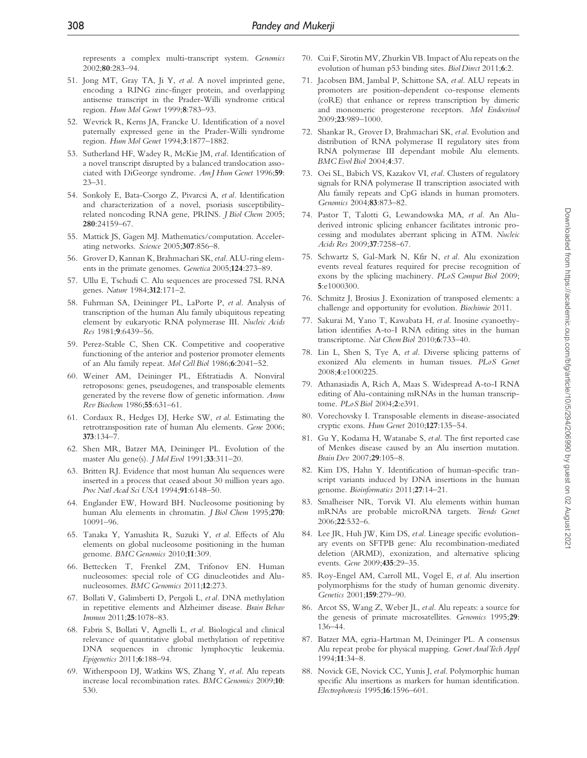represents a complex multi-transcript system. Genomics 2002;80:283–94.

- 51. Jong MT, Gray TA, Ji Y, et al. A novel imprinted gene, encoding a RING zinc-finger protein, and overlapping antisense transcript in the Prader-Willi syndrome critical region. Hum Mol Genet 1999;8:783–93.
- 52. Wevrick R, Kerns JA, Francke U. Identification of a novel paternally expressed gene in the Prader-Willi syndrome region. Hum Mol Genet 1994;3:1877–1882.
- 53. Sutherland HF, Wadey R, McKie JM, etal. Identification of a novel transcript disrupted by a balanced translocation associated with DiGeorge syndrome. Am J Hum Genet 1996;59: 23–31.
- 54. Sonkoly E, Bata-Csorgo Z, Pivarcsi A, et al. Identification and characterization of a novel, psoriasis susceptibilityrelated noncoding RNA gene, PRINS. J Biol Chem 2005; 280:24159–67.
- 55. Mattick JS, Gagen MJ. Mathematics/computation. Accelerating networks. Science 2005;307:856–8.
- 56. Grover D, Kannan K, Brahmachari SK, etal. ALU-ring elements in the primate genomes. Genetica 2005;124:273–89.
- 57. Ullu E, Tschudi C. Alu sequences are processed 7SL RNA genes. Nature 1984;312:171–2.
- 58. Fuhrman SA, Deininger PL, LaPorte P, et al. Analysis of transcription of the human Alu family ubiquitous repeating element by eukaryotic RNA polymerase III. Nucleic Acids Res 1981;9:6439–56.
- 59. Perez-Stable C, Shen CK. Competitive and cooperative functioning of the anterior and posterior promoter elements of an Alu family repeat. Mol Cell Biol 1986;6:2041–52.
- 60. Weiner AM, Deininger PL, Efstratiadis A. Nonviral retroposons: genes, pseudogenes, and transposable elements generated by the reverse flow of genetic information. Annu Rev Biochem 1986;55:631–61.
- 61. Cordaux R, Hedges DJ, Herke SW, et al. Estimating the retrotransposition rate of human Alu elements. Gene 2006; 373:134–7.
- 62. Shen MR, Batzer MA, Deininger PL. Evolution of the master Alu gene(s). J Mol Evol 1991;33:311–20.
- 63. Britten RJ. Evidence that most human Alu sequences were inserted in a process that ceased about 30 million years ago. Proc Natl Acad Sci USA 1994;91:6148–50.
- 64. Englander EW, Howard BH. Nucleosome positioning by human Alu elements in chromatin. J Biol Chem 1995;270: 10091–96.
- 65. Tanaka Y, Yamashita R, Suzuki Y, et al. Effects of Alu elements on global nucleosome positioning in the human genome. BMC Genomics 2010;11:309.
- 66. Bettecken T, Frenkel ZM, Trifonov EN. Human nucleosomes: special role of CG dinucleotides and Alunucleosomes. BMC Genomics 2011;12:273.
- 67. Bollati V, Galimberti D, Pergoli L, et al. DNA methylation in repetitive elements and Alzheimer disease. Brain Behav Immun 2011;25:1078–83.
- 68. Fabris S, Bollati V, Agnelli L, et al. Biological and clinical relevance of quantitative global methylation of repetitive DNA sequences in chronic lymphocytic leukemia. Epigenetics 2011;6:188–94.
- 69. Witherspoon DJ, Watkins WS, Zhang Y, et al. Alu repeats increase local recombination rates. BMC Genomics 2009;10: 530.
- 70. Cui F, Sirotin MV, Zhurkin VB. Impact of Alu repeats on the evolution of human p53 binding sites. Biol Direct 2011;6:2.
- 71. Jacobsen BM, Jambal P, Schittone SA, et al. ALU repeats in promoters are position-dependent co-response elements (coRE) that enhance or repress transcription by dimeric and monomeric progesterone receptors. Mol Endocrinol 2009;23:989–1000.
- 72. Shankar R, Grover D, Brahmachari SK, et al. Evolution and distribution of RNA polymerase II regulatory sites from RNA polymerase III dependant mobile Alu elements. BMC Evol Biol 2004;4:37.
- 73. Oei SL, Babich VS, Kazakov VI, et al. Clusters of regulatory signals for RNA polymerase II transcription associated with Alu family repeats and CpG islands in human promoters. Genomics 2004;83:873–82.
- 74. Pastor T, Talotti G, Lewandowska MA, et al. An Aluderived intronic splicing enhancer facilitates intronic processing and modulates aberrant splicing in ATM. Nucleic Acids Res 2009;37:7258–67.
- 75. Schwartz S, Gal-Mark N, Kfir N, et al. Alu exonization events reveal features required for precise recognition of exons by the splicing machinery. PLoS Comput Biol 2009; 5:e1000300.
- 76. Schmitz J, Brosius J. Exonization of transposed elements: a challenge and opportunity for evolution. Biochimie 2011.
- 77. Sakurai M, Yano T, Kawabata H, et al. Inosine cyanoethylation identifies A-to-I RNA editing sites in the human transcriptome. Nat Chem Biol 2010;6:733–40.
- 78. Lin L, Shen S, Tye A, et al. Diverse splicing patterns of exonized Alu elements in human tissues. PLoS Genet 2008;4:e1000225.
- 79. Athanasiadis A, Rich A, Maas S. Widespread A-to-I RNA editing of Alu-containing mRNAs in the human transcriptome. PLoS Biol 2004;2:e391.
- 80. Vorechovsky I. Transposable elements in disease-associated cryptic exons. Hum Genet 2010;127:135–54.
- 81. Gu Y, Kodama H, Watanabe S, et al. The first reported case of Menkes disease caused by an Alu insertion mutation. Brain Dev 2007;29:105–8.
- 82. Kim DS, Hahn Y. Identification of human-specific transcript variants induced by DNA insertions in the human genome. Bioinformatics 2011;27:14–21.
- 83. Smalheiser NR, Torvik VI. Alu elements within human mRNAs are probable microRNA targets. Trends Genet 2006;22:532–6.
- 84. Lee JR, Huh JW, Kim DS, et al. Lineage specific evolutionary events on SFTPB gene: Alu recombination-mediated deletion (ARMD), exonization, and alternative splicing events. Gene 2009;435:29–35.
- 85. Roy-Engel AM, Carroll ML, Vogel E, et al. Alu insertion polymorphisms for the study of human genomic diversity. Genetics 2001;159:279–90.
- 86. Arcot SS, Wang Z, Weber JL, et al. Alu repeats: a source for the genesis of primate microsatellites. Genomics 1995;29: 136–44.
- 87. Batzer MA, egria-Hartman M, Deininger PL. A consensus Alu repeat probe for physical mapping. Genet AnalTech Appl 1994;11:34–8.
- 88. Novick GE, Novick CC, Yunis J, etal. Polymorphic human specific Alu insertions as markers for human identification. Electrophoresis 1995;16:1596–601.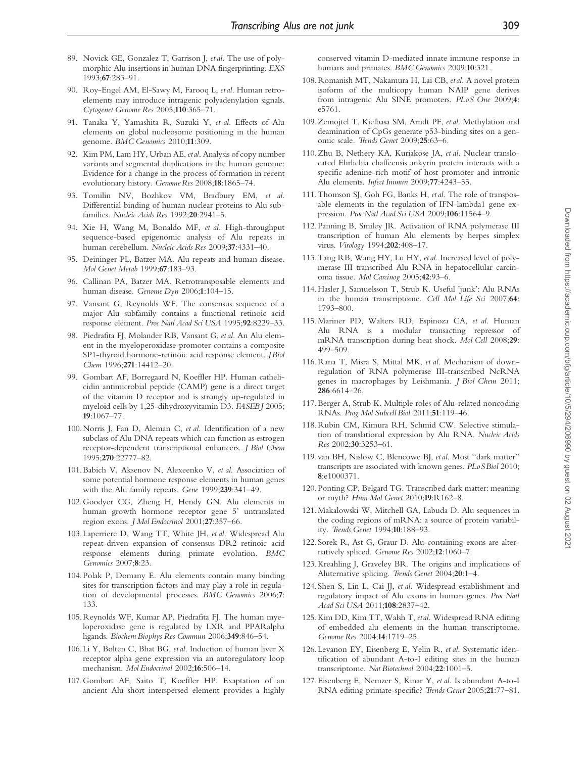- 89. Novick GE, Gonzalez T, Garrison J, et al. The use of polymorphic Alu insertions in human DNA fingerprinting. EXS 1993;67:283–91.
- 90. Roy-Engel AM, El-Sawy M, Farooq L, et al. Human retroelements may introduce intragenic polyadenylation signals. Cytogenet Genome Res 2005;110:365–71.
- 91. Tanaka Y, Yamashita R, Suzuki Y, et al. Effects of Alu elements on global nucleosome positioning in the human genome. BMC Genomics 2010;11:309.
- 92. Kim PM, Lam HY, Urban AE, etal. Analysis of copy number variants and segmental duplications in the human genome: Evidence for a change in the process of formation in recent evolutionary history. Genome Res 2008;18:1865-74.
- 93. Tomilin NV, Bozhkov VM, Bradbury EM, et al. Differential binding of human nuclear proteins to Alu subfamilies. Nucleic Acids Res 1992;20:2941-5.
- 94. Xie H, Wang M, Bonaldo MF, et al. High-throughput sequence-based epigenomic analysis of Alu repeats in human cerebellum. Nucleic Acids Res 2009;37:4331–40.
- 95. Deininger PL, Batzer MA. Alu repeats and human disease. Mol Genet Metab 1999;67:183–93.
- 96. Callinan PA, Batzer MA. Retrotransposable elements and human disease. Genome Dyn 2006;1:104–15.
- 97. Vansant G, Reynolds WF. The consensus sequence of a major Alu subfamily contains a functional retinoic acid response element. Proc Natl Acad Sci USA 1995;92:8229–33.
- 98. Piedrafita FJ, Molander RB, Vansant G, et al. An Alu element in the myeloperoxidase promoter contains a composite SP1-thyroid hormone-retinoic acid response element. J Biol Chem 1996;271:14412–20.
- 99. Gombart AF, Borregaard N, Koeffler HP. Human cathelicidin antimicrobial peptide (CAMP) gene is a direct target of the vitamin D receptor and is strongly up-regulated in myeloid cells by 1,25-dihydroxyvitamin D3. FASEB J 2005; 19:1067–77.
- 100.Norris J, Fan D, Aleman C, et al. Identification of a new subclass of Alu DNA repeats which can function as estrogen receptor-dependent transcriptional enhancers. J Biol Chem 1995;270:22777–82.
- 101.Babich V, Aksenov N, Alexeenko V, et al. Association of some potential hormone response elements in human genes with the Alu family repeats. Gene 1999;239:341–49.
- 102.Goodyer CG, Zheng H, Hendy GN. Alu elements in human growth hormone receptor gene 5' untranslated region exons. J Mol Endocrinol 2001;27:357–66.
- 103. Laperriere D, Wang TT, White JH, et al. Widespread Alu repeat-driven expansion of consensus DR2 retinoic acid response elements during primate evolution. BMC Genomics 2007;8:23.
- 104. Polak P, Domany E. Alu elements contain many binding sites for transcription factors and may play a role in regulation of developmental processes. BMC Genomics 2006;7: 133.
- 105.Reynolds WF, Kumar AP, Piedrafita FJ. The human myeloperoxidase gene is regulated by LXR and PPARalpha ligands. Biochem Biophys Res Commun 2006;349:846–54.
- 106. Li Y, Bolten C, Bhat BG, et al. Induction of human liver X receptor alpha gene expression via an autoregulatory loop mechanism. Mol Endocrinol 2002;16:506–14.
- 107.Gombart AF, Saito T, Koeffler HP. Exaptation of an ancient Alu short interspersed element provides a highly

conserved vitamin D-mediated innate immune response in humans and primates. BMC Genomics 2009;10:321.

- 108.Romanish MT, Nakamura H, Lai CB, etal. A novel protein isoform of the multicopy human NAIP gene derives from intragenic Alu SINE promoters. PLoS One 2009;4: e5761.
- 109.Zemojtel T, Kielbasa SM, Arndt PF, et al. Methylation and deamination of CpGs generate p53-binding sites on a genomic scale. Trends Genet 2009;25:63–6.
- 110.Zhu B, Nethery KA, Kuriakose JA, et al. Nuclear translocated Ehrlichia chaffeensis ankyrin protein interacts with a specific adenine-rich motif of host promoter and intronic Alu elements. Infect Immun 2009;77:4243–55.
- 111.Thomson SJ, Goh FG, Banks H, et al. The role of transposable elements in the regulation of IFN-lambda1 gene expression. Proc Natl Acad Sci USA 2009;106:11564-9.
- 112. Panning B, Smiley JR. Activation of RNA polymerase III transcription of human Alu elements by herpes simplex virus. Virology 1994;202:408–17.
- 113.Tang RB, Wang HY, Lu HY, et al. Increased level of polymerase III transcribed Alu RNA in hepatocellular carcinoma tissue. Mol Carcinog 2005;42:93–6.
- 114.Hasler J, Samuelsson T, Strub K. Useful 'junk': Alu RNAs in the human transcriptome. Cell Mol Life Sci 2007;64: 1793–800.
- 115.Mariner PD, Walters RD, Espinoza CA, et al. Human Alu RNA is a modular transacting repressor of mRNA transcription during heat shock. Mol Cell 2008;29: 499–509.
- 116.Rana T, Misra S, Mittal MK, et al. Mechanism of downregulation of RNA polymerase III-transcribed NcRNA genes in macrophages by Leishmania. J Biol Chem 2011; 286:6614–26.
- 117.Berger A, Strub K. Multiple roles of Alu-related noncoding RNAs. Prog Mol Subcell Biol 2011;51:119–46.
- 118.Rubin CM, Kimura RH, Schmid CW. Selective stimulation of translational expression by Alu RNA. Nucleic Acids Res 2002;30:3253–61.
- 119.van BH, Nislow C, Blencowe BJ, et al. Most ''dark matter'' transcripts are associated with known genes. PLoSBiol 2010; 8:e1000371.
- 120. Ponting CP, Belgard TG. Transcribed dark matter: meaning or myth? Hum Mol Genet 2010;19:R162–8.
- 121.Makalowski W, Mitchell GA, Labuda D. Alu sequences in the coding regions of mRNA: a source of protein variability. Trends Genet 1994;10:188–93.
- 122.Sorek R, Ast G, Graur D. Alu-containing exons are alternatively spliced. Genome Res 2002;12:1060-7.
- 123.Kreahling J, Graveley BR. The origins and implications of Aluternative splicing. Trends Genet 2004;20:1–4.
- 124.Shen S, Lin L, Cai JJ, et al. Widespread establishment and regulatory impact of Alu exons in human genes. Proc Natl Acad Sci USA 2011;108:2837–42.
- 125.Kim DD, Kim TT, Walsh T, etal. Widespread RNA editing of embedded alu elements in the human transcriptome. Genome Res 2004;14:1719–25.
- 126. Levanon EY, Eisenberg E, Yelin R, et al. Systematic identification of abundant A-to-I editing sites in the human transcriptome. Nat Biotechnol 2004;22:1001–5.
- 127.Eisenberg E, Nemzer S, Kinar Y, et al. Is abundant A-to-I RNA editing primate-specific? Trends Genet 2005;21:77–81.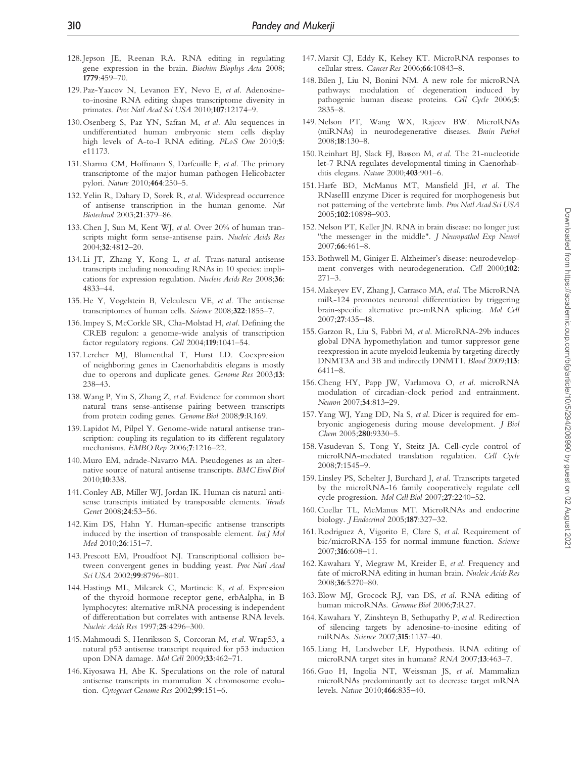- 128.Jepson JE, Reenan RA. RNA editing in regulating gene expression in the brain. Biochim Biophys Acta 2008; 1779:459–70.
- 129. Paz-Yaacov N, Levanon EY, Nevo E, et al. Adenosineto-inosine RNA editing shapes transcriptome diversity in primates. Proc Natl Acad Sci USA 2010;107:12174-9.
- 130.Osenberg S, Paz YN, Safran M, et al. Alu sequences in undifferentiated human embryonic stem cells display high levels of A-to-I RNA editing. PLoS One 2010;5: e11173.
- 131.Sharma CM, Hoffmann S, Darfeuille F, et al. The primary transcriptome of the major human pathogen Helicobacter pylori. Nature 2010;464:250–5.
- 132.Yelin R, Dahary D, Sorek R, et al. Widespread occurrence of antisense transcription in the human genome. Nat Biotechnol 2003;21:379–86.
- 133.Chen J, Sun M, Kent WJ, et al. Over 20% of human transcripts might form sense-antisense pairs. Nucleic Acids Res 2004;32:4812–20.
- 134. Li JT, Zhang Y, Kong L, et al. Trans-natural antisense transcripts including noncoding RNAs in 10 species: implications for expression regulation. Nucleic Acids Res 2008;36: 4833–44.
- 135.He Y, Vogelstein B, Velculescu VE, et al. The antisense transcriptomes of human cells. Science 2008;322:1855–7.
- 136. Impey S, McCorkle SR, Cha-Molstad H, etal. Defining the CREB regulon: a genome-wide analysis of transcription factor regulatory regions. Cell 2004;119:1041–54.
- 137. Lercher MJ, Blumenthal T, Hurst LD. Coexpression of neighboring genes in Caenorhabditis elegans is mostly due to operons and duplicate genes. Genome Res 2003;13: 238–43.
- 138.Wang P, Yin S, Zhang Z, et al. Evidence for common short natural trans sense-antisense pairing between transcripts from protein coding genes. Genome Biol 2008;9:R169.
- 139. Lapidot M, Pilpel Y. Genome-wide natural antisense transcription: coupling its regulation to its different regulatory mechanisms. EMBO Rep 2006;7:1216–22.
- 140.Muro EM, ndrade-Navarro MA. Pseudogenes as an alternative source of natural antisense transcripts. BMC Evol Biol 2010;10:338.
- 141.Conley AB, Miller WJ, Jordan IK. Human cis natural antisense transcripts initiated by transposable elements. Trends Genet 2008;24:53–56.
- 142.Kim DS, Hahn Y. Human-specific antisense transcripts induced by the insertion of transposable element. Int J Mol Med 2010;26:151–7.
- 143. Prescott EM, Proudfoot NJ. Transcriptional collision between convergent genes in budding yeast. Proc Natl Acad Sci USA 2002;99:8796-801.
- 144.Hastings ML, Milcarek C, Martincic K, et al. Expression of the thyroid hormone receptor gene, erbAalpha, in B lymphocytes: alternative mRNA processing is independent of differentiation but correlates with antisense RNA levels. Nucleic Acids Res 1997;25:4296–300.
- 145.Mahmoudi S, Henriksson S, Corcoran M, et al. Wrap53, a natural p53 antisense transcript required for p53 induction upon DNA damage. Mol Cell 2009;33:462–71.
- 146.Kiyosawa H, Abe K. Speculations on the role of natural antisense transcripts in mammalian X chromosome evolution. Cytogenet Genome Res 2002;99:151-6.
- 147.Marsit CJ, Eddy K, Kelsey KT. MicroRNA responses to cellular stress. Cancer Res 2006;66:10843–8.
- 148.Bilen J, Liu N, Bonini NM. A new role for microRNA pathways: modulation of degeneration induced by pathogenic human disease proteins. Cell Cycle 2006;5: 2835–8.
- 149.Nelson PT, Wang WX, Rajeev BW. MicroRNAs (miRNAs) in neurodegenerative diseases. Brain Pathol 2008;18:130–8.
- 150.Reinhart BJ, Slack FJ, Basson M, et al. The 21-nucleotide let-7 RNA regulates developmental timing in Caenorhabditis elegans. Nature 2000;403:901–6.
- 151.Harfe BD, McManus MT, Mansfield JH, et al. The RNaseIII enzyme Dicer is required for morphogenesis but not patterning of the vertebrate limb. Proc Natl Acad Sci USA 2005;102:10898–903.
- 152.Nelson PT, Keller JN. RNA in brain disease: no longer just "the messenger in the middle". J Neuropathol Exp Neurol 2007;66:461–8.
- 153.Bothwell M, Giniger E. Alzheimer's disease: neurodevelopment converges with neurodegeneration. Cell 2000;102: 271–3.
- 154.Makeyev EV, Zhang J, Carrasco MA, etal. The MicroRNA miR-124 promotes neuronal differentiation by triggering brain-specific alternative pre-mRNA splicing. Mol Cell 2007;27:435–48.
- 155.Garzon R, Liu S, Fabbri M, et al. MicroRNA-29b induces global DNA hypomethylation and tumor suppressor gene reexpression in acute myeloid leukemia by targeting directly DNMT3A and 3B and indirectly DNMT1. Blood 2009;113: 6411–8.
- 156.Cheng HY, Papp JW, Varlamova O, et al. microRNA modulation of circadian-clock period and entrainment. Neuron 2007;54:813–29.
- 157.Yang WJ, Yang DD, Na S, et al. Dicer is required for embryonic angiogenesis during mouse development. J Biol Chem 2005;280:9330–5.
- 158.Vasudevan S, Tong Y, Steitz JA. Cell-cycle control of microRNA-mediated translation regulation. Cell Cycle 2008;7:1545–9.
- 159. Linsley PS, Schelter J, Burchard J, et al. Transcripts targeted by the microRNA-16 family cooperatively regulate cell cycle progression. Mol Cell Biol 2007;27:2240–52.
- 160.Cuellar TL, McManus MT. MicroRNAs and endocrine biology. J Endocrinol 2005;187:327–32.
- 161.Rodriguez A, Vigorito E, Clare S, et al. Requirement of bic/microRNA-155 for normal immune function. Science 2007;316:608–11.
- 162.Kawahara Y, Megraw M, Kreider E, et al. Frequency and fate of microRNA editing in human brain. Nucleic Acids Res 2008;36:5270–80.
- 163.Blow MJ, Grocock RJ, van DS, et al. RNA editing of human microRNAs. Genome Biol 2006;7:R27.
- 164.Kawahara Y, Zinshteyn B, Sethupathy P, et al. Redirection of silencing targets by adenosine-to-inosine editing of miRNAs. Science 2007;315:1137–40.
- 165. Liang H, Landweber LF, Hypothesis. RNA editing of microRNA target sites in humans? RNA 2007;13:463–7.
- 166.Guo H, Ingolia NT, Weissman JS, et al. Mammalian microRNAs predominantly act to decrease target mRNA levels. Nature 2010;466:835–40.